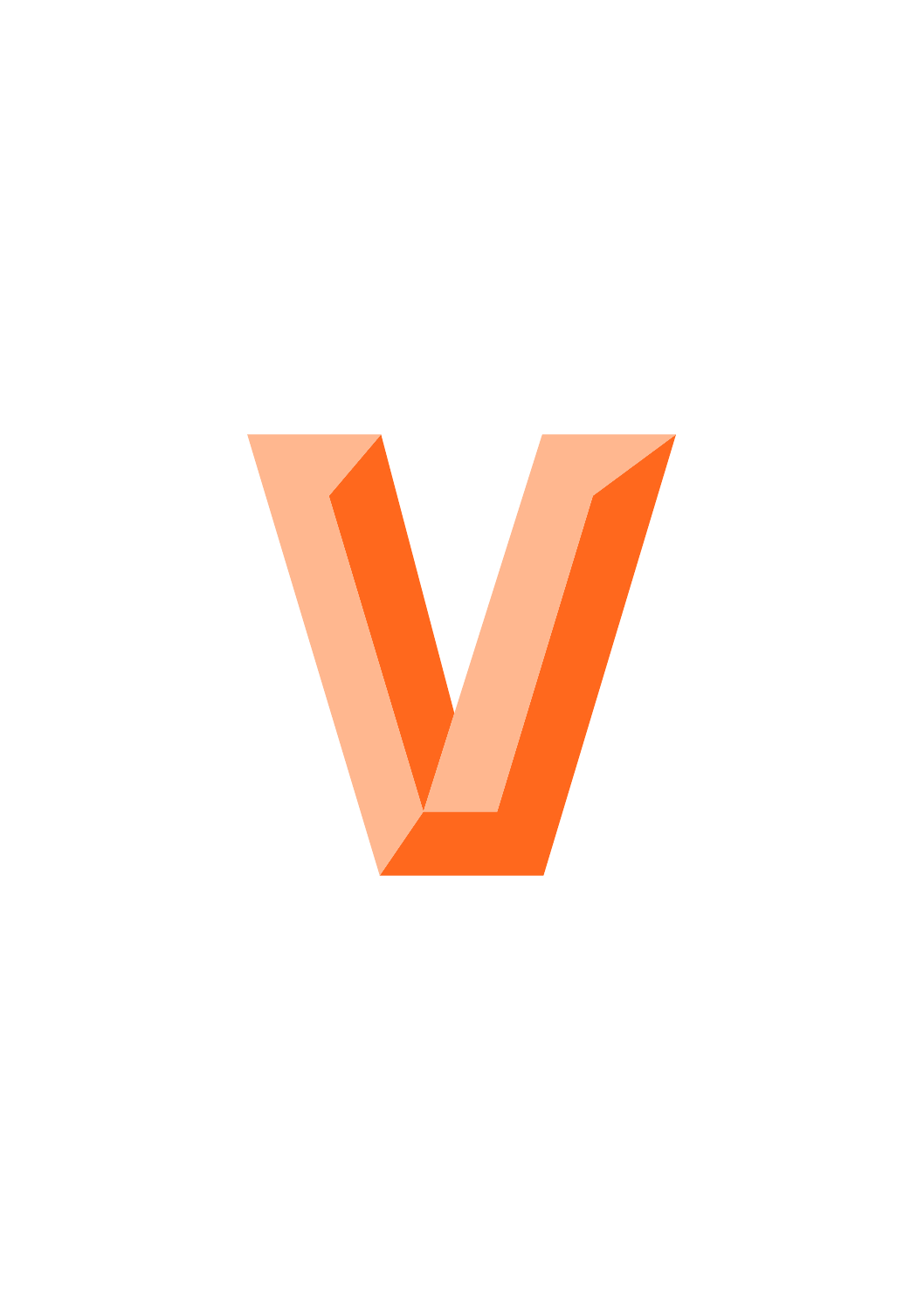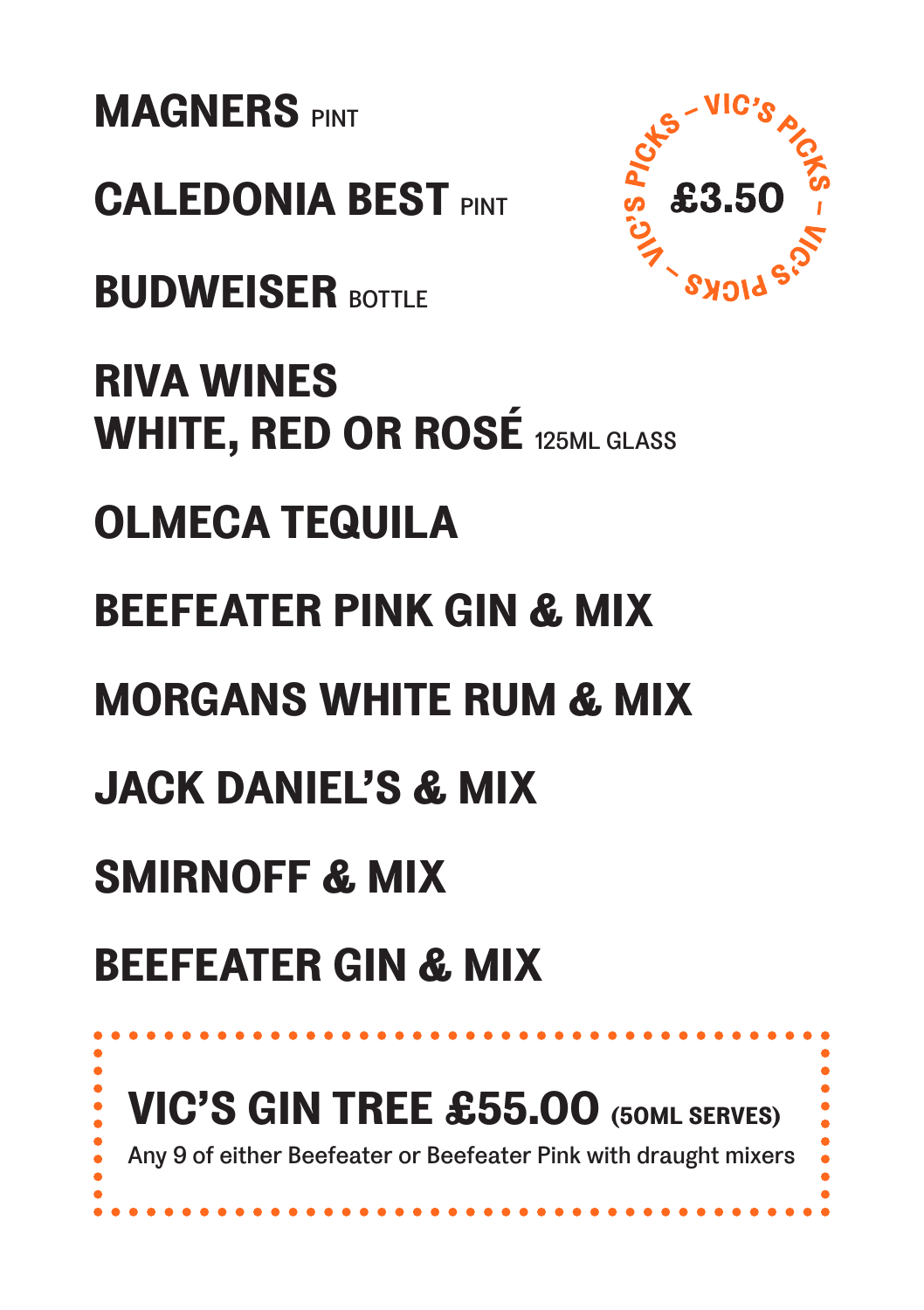MAGNERS **PINT**

CALEDONIA BEST **PINT**

**BUDWEISER** BOTTLE



RIVA WINES WHITE, RED OR ROSÉ **125ML GLASS**

OLMECA TEQUILA

BEEFEATER PINK GIN & MIX

MORGANS WHITE RUM & MIX

JACK DANIEL'S & MIX

SMIRNOFF & MIX

BEEFEATER GIN & MIX

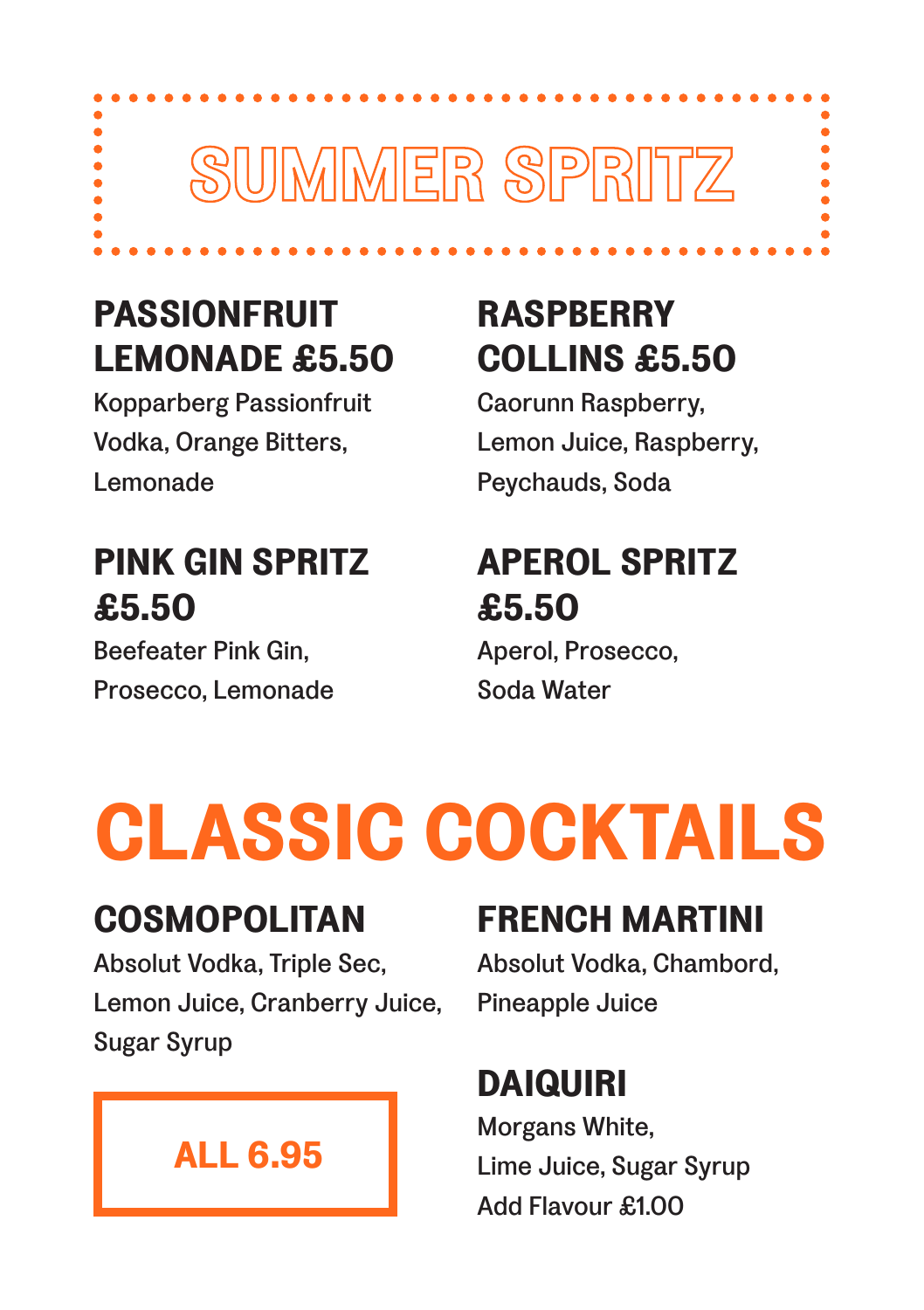## SUMMER SPRITZ

#### PASSIONFRUIT LEMONADE £5.50

**Kopparberg Passionfruit Vodka, Orange Bitters, Lemonade**

#### PINK GIN SPRITZ £5.50

**Beefeater Pink Gin, Prosecco, Lemonade**

#### **RASPRERRY** COLLINS £5.50

**Caorunn Raspberry, Lemon Juice, Raspberry, Peychauds, Soda** 

#### APEROL SPRITZ £5.50

**Aperol, Prosecco, Soda Water**

## CLASSIC COCKTAILS

#### **COSMOPOLITAN**

**Absolut Vodka, Triple Sec, Lemon Juice, Cranberry Juice, Sugar Syrup**

#### ALL 6.95

#### FRENCH MARTINI

**Absolut Vodka, Chambord, Pineapple Juice**

#### DAIQUIRI

**Morgans White, Lime Juice, Sugar Syrup Add Flavour £1.00**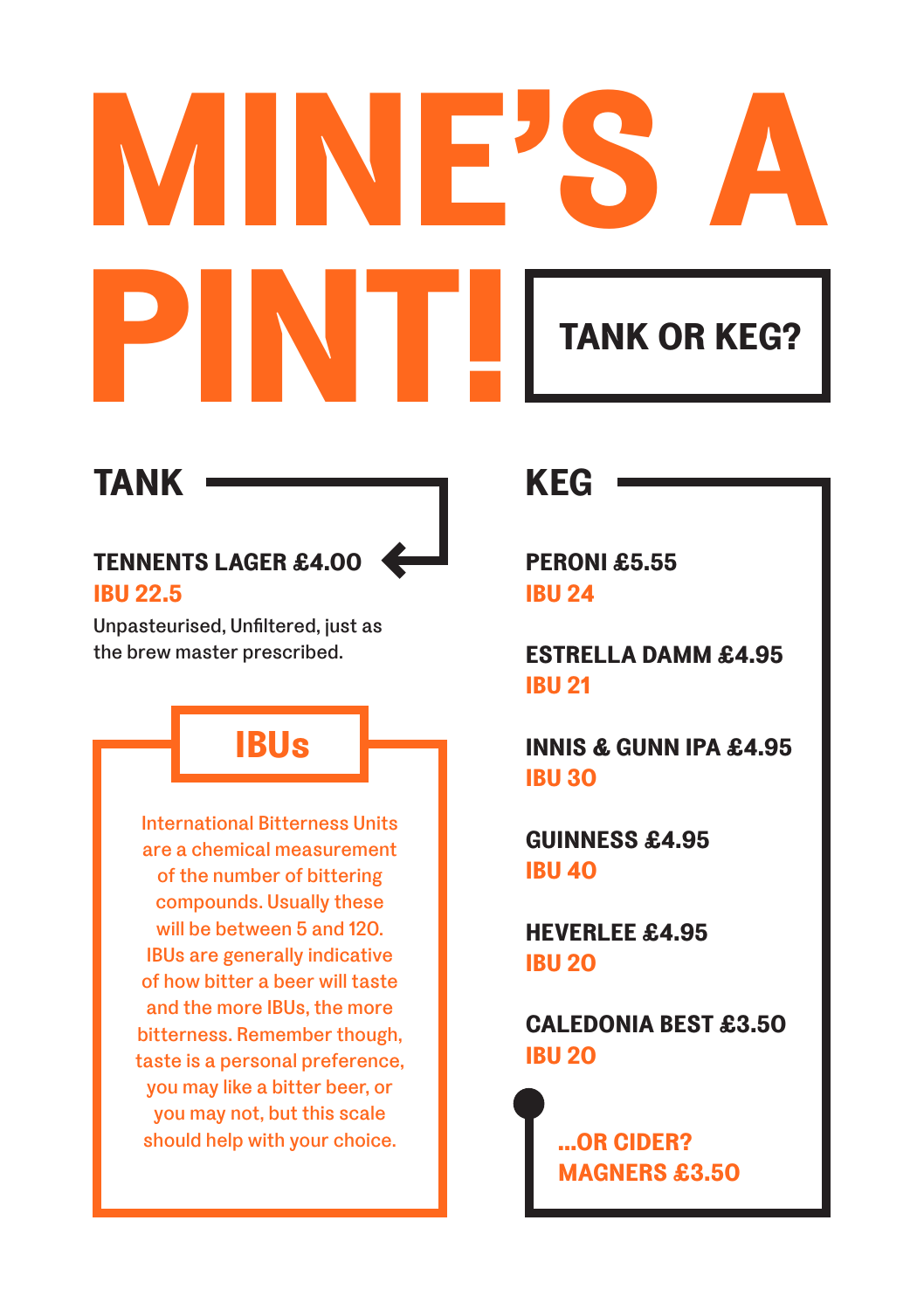# **MIN** PINT! TANK OR KEG?

#### TANK

#### TENNENTS LAGER £4.00



#### IBU 22.5

**Unpasteurised, Unfiltered, just as the brew master prescribed.**



**International Bitterness Units are a chemical measurement of the number of bittering compounds. Usually these will be between 5 and 120. IBUs are generally indicative of how bitter a beer will taste and the more IBUs, the more bitterness. Remember though, taste is a personal preference, you may like a bitter beer, or you may not, but this scale should help with your choice.**

#### KEG

PERONI £5.55 IBU 24

ESTRELLA DAMM £4.95 IBU 21

INNIS & GUNN IPA £4.95 IBU 30

GUINNESS £4.95 IBU 40

HEVERLEE £4.95 IBU 20

CALEDONIA BEST £3.50 IBU 20

> ...OR CIDER? MAGNERS £3.50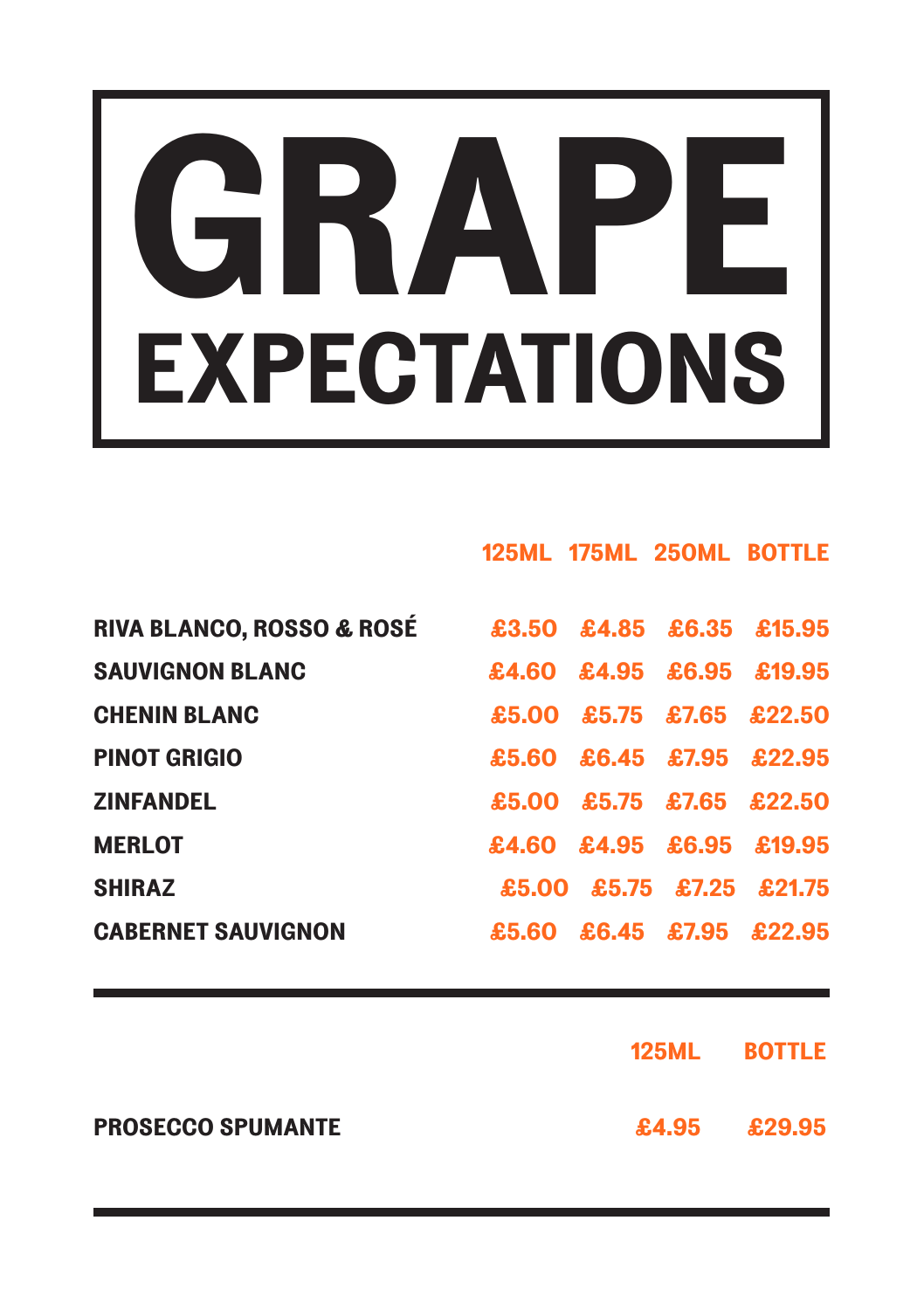# GRAPE EXPECTATIONS

125ML 175ML 250ML BOTTLE

| <b>RIVA BLANCO, ROSSO &amp; ROSÉ</b> |       |  | £3.50 £4.85 £6.35 £15.95 |
|--------------------------------------|-------|--|--------------------------|
| <b>SAUVIGNON BLANC</b>               |       |  | £4.60 £4.95 £6.95 £19.95 |
| <b>CHENIN BLANC</b>                  |       |  | £5.00 £5.75 £7.65 £22.50 |
| <b>PINOT GRIGIO</b>                  |       |  | £5.60 £6.45 £7.95 £22.95 |
| <b>ZINFANDEL</b>                     |       |  | £5.00 £5.75 £7.65 £22.50 |
| <b>MERLOT</b>                        |       |  | £4.60 £4.95 £6.95 £19.95 |
| <b>SHIRAZ</b>                        |       |  | £5.00 £5.75 £7.25 £21.75 |
| <b>CABERNET SAUVIGNON</b>            | £5.60 |  | £6.45 £7.95 £22.95       |

125ML BOTTLE

#### PROSECCO SPUMANTE **EXAMPLE 1999** E29.95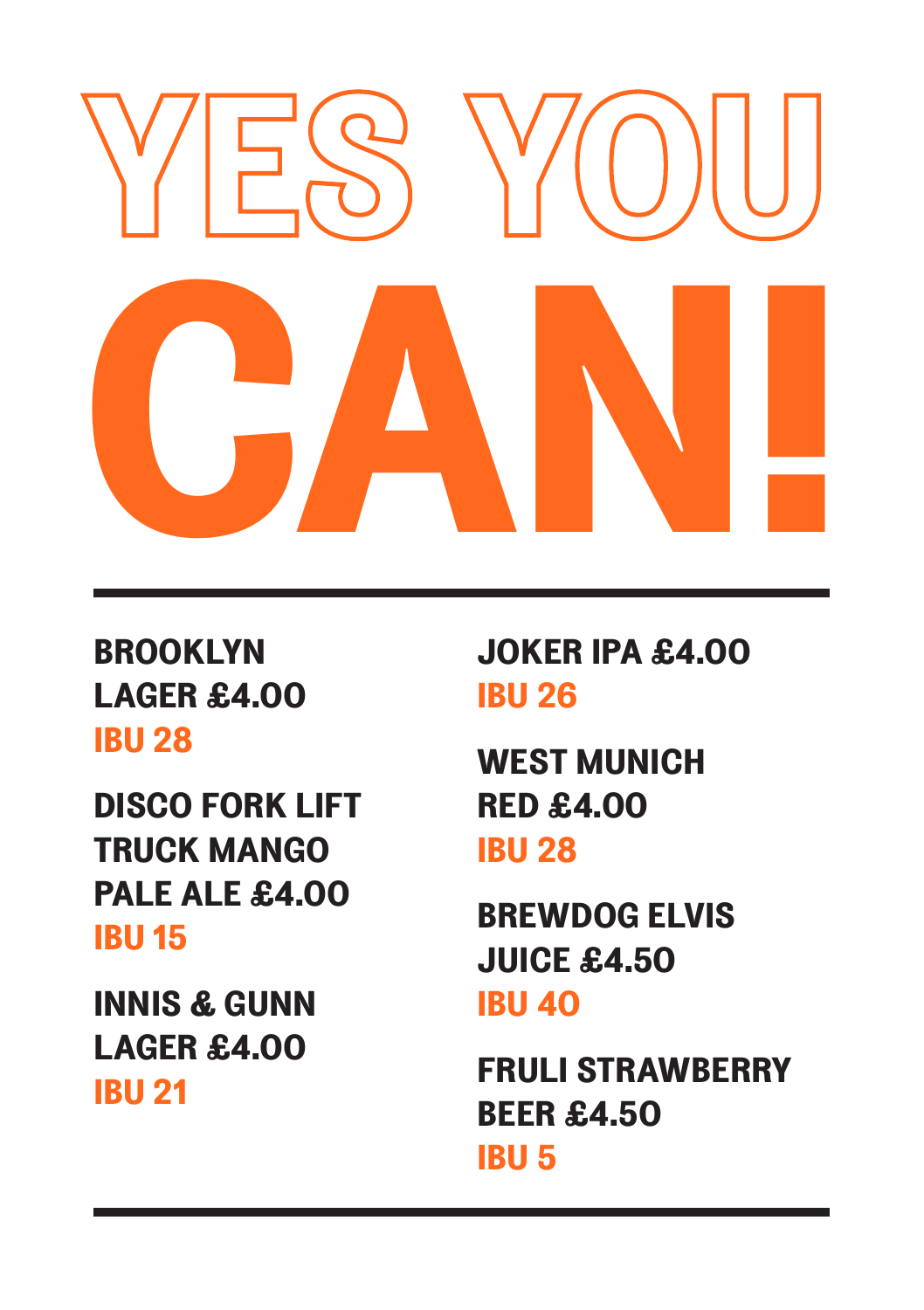

#### BROOKLYN LAGER £4.00 IBU 28

DISCO FORK LIFT TRUCK MANGO PALE ALE £4.00 IBU 15

INNIS & GUNN LAGER £4.00 IBU 21

JOKER IPA £4.00 IBU 26

WEST MUNICH RED £4.00 IBU 28

BREWDOG ELVIS JUICE £4.50 IBU 40

FRULI STRAWBERRY BEER £4.50 IBU 5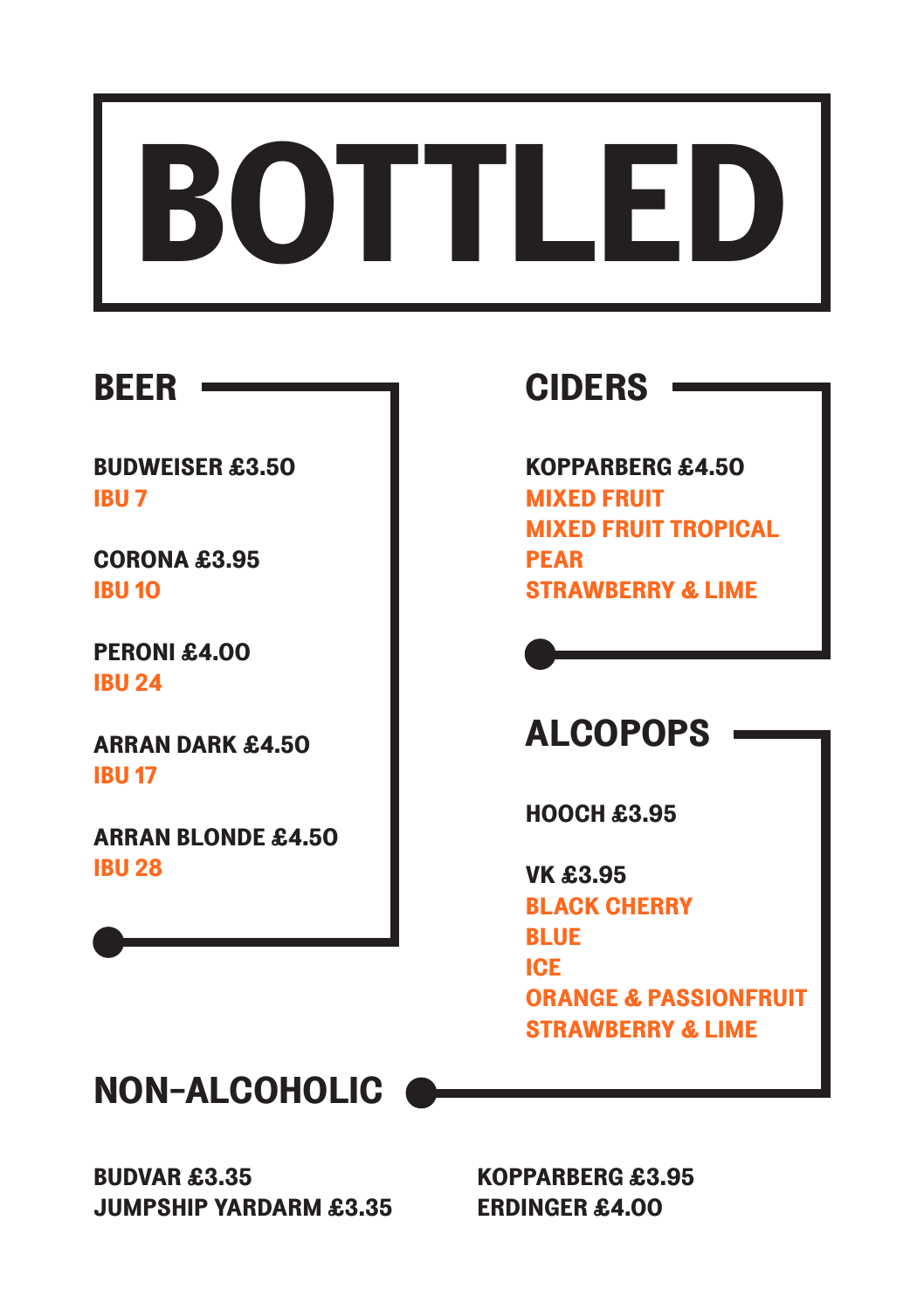# BOTTLEI

#### BEER

BUDWEISER £3.50 IBU 7

CORONA £3.95 IBU 10

PERONI £4.00 IBU 24

ARRAN DARK £4.50 IBU 17

ARRAN BLONDE £4.50 IBU 28

#### CIDERS

KOPPARBERG £4.50 MIXED FRUIT MIXED FRUIT TROPICAL PEAR STRAWBERRY & LIME

#### **ALCOPOPS**

HOOCH £3.95

VK £3.95 BLACK CHERRY **BLUE** ICE ORANGE & PASSIONFRUIT STRAWBERRY & LIME

NON-ALCOHOLIC

BUDVAR £3.35 JUMPSHIP YARDARM £3.35 KOPPARBERG £3.95 ERDINGER £4.00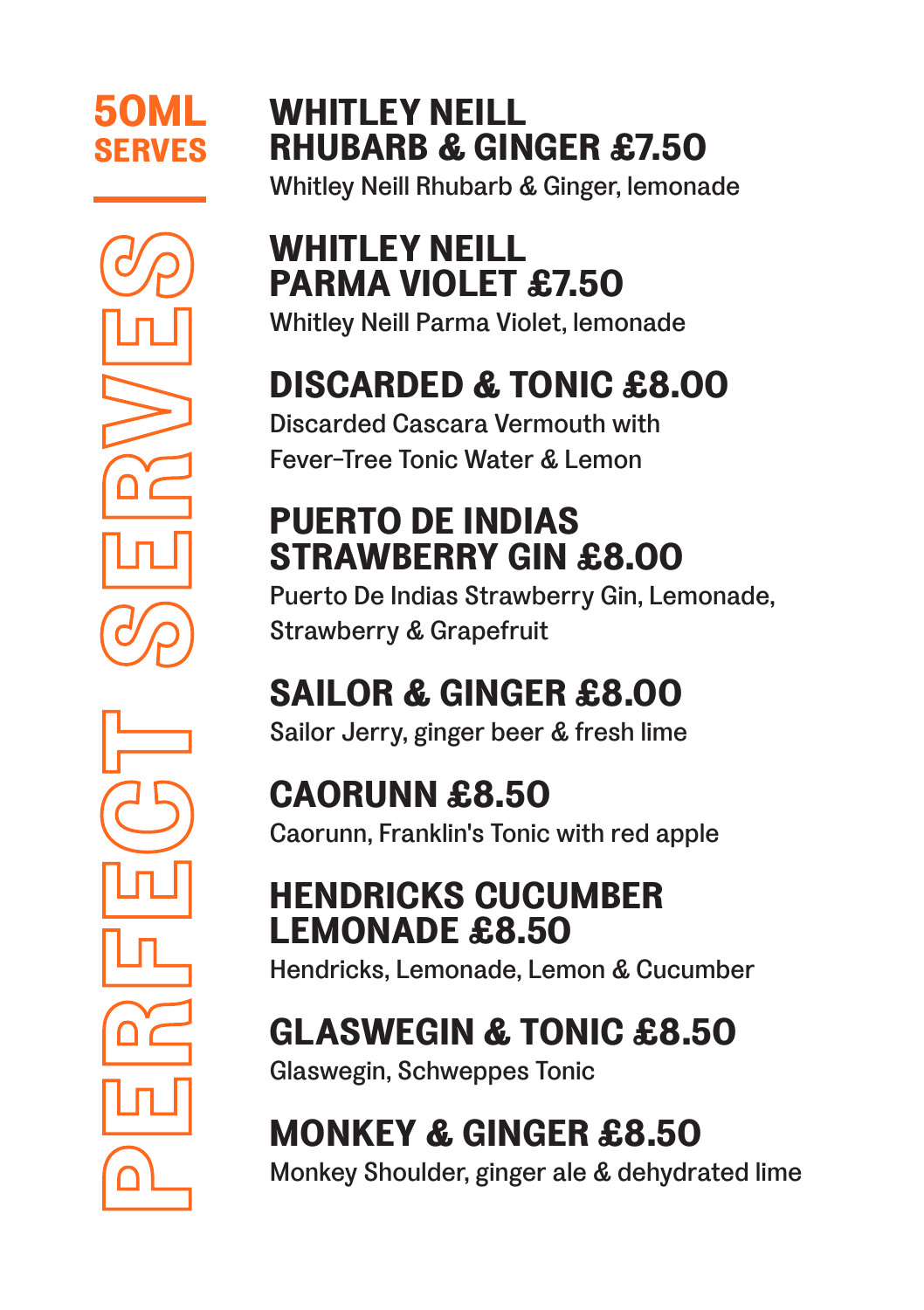#### 50ML SERVES

PERFECT SERVES

#### WHITLEY NEILL RHUBARB & GINGER £7.50

**Whitley Neill Rhubarb & Ginger, lemonade**

#### WHITLEY NEILL PARMA VIOLET £7.50

**Whitley Neill Parma Violet, lemonade**

#### DISCARDED & TONIC £8.00

**Discarded Cascara Vermouth with Fever-Tree Tonic Water & Lemon**

#### PUERTO DE INDIAS STRAWBERRY GIN £8.00

**Puerto De Indias Strawberry Gin, Lemonade, Strawberry & Grapefruit**

#### SAILOR & GINGER £8.00

**Sailor Jerry, ginger beer & fresh lime**

#### CAORUNN £8.50

**Caorunn, Franklin's Tonic with red apple**

#### HENDRICKS CUCUMBER LEMONADE £8.50

**Hendricks, Lemonade, Lemon & Cucumber**

#### GLASWEGIN & TONIC £8.50

**Glaswegin, Schweppes Tonic**

#### MONKEY & GINGER £8.50

**Monkey Shoulder, ginger ale & dehydrated lime**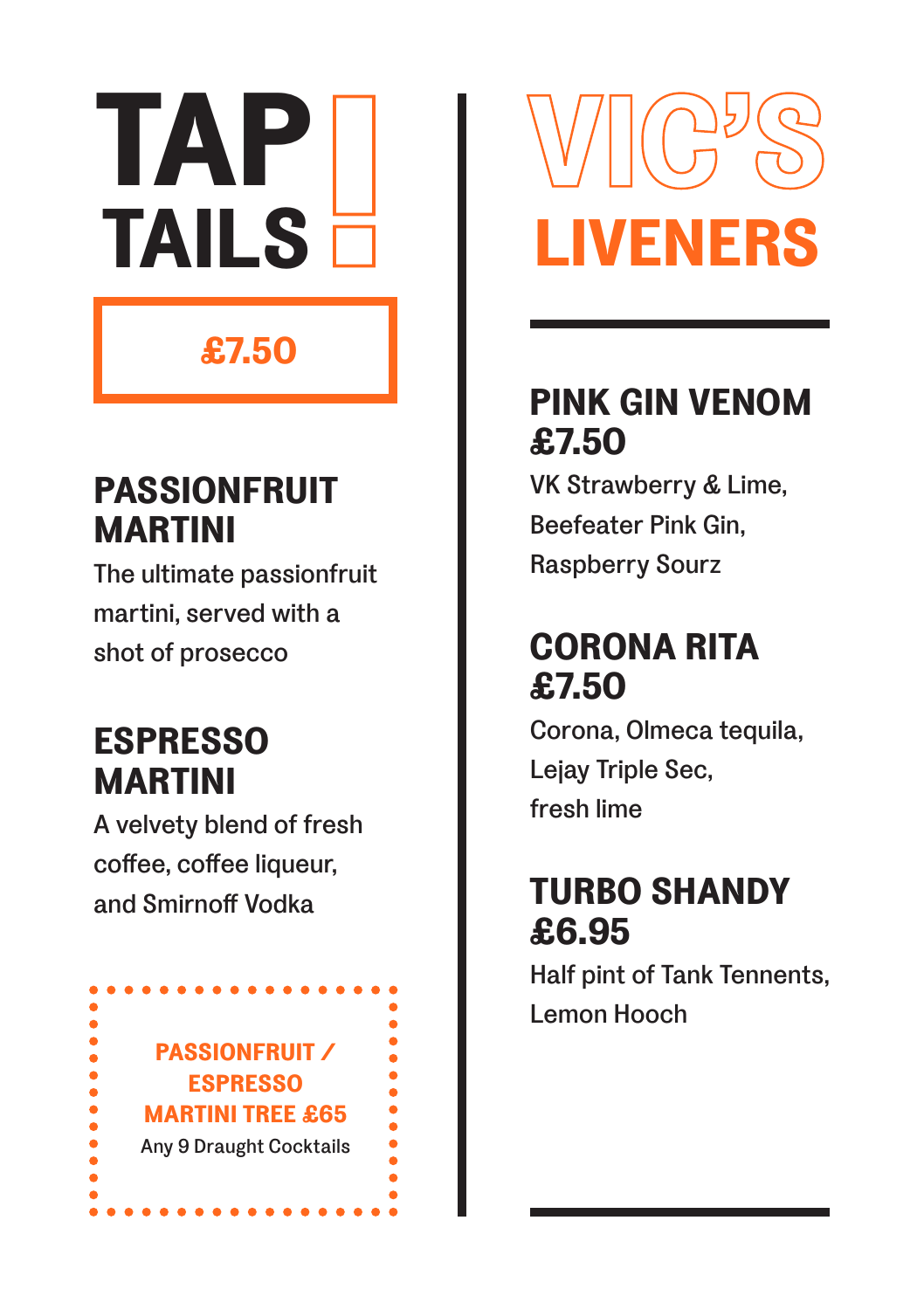# TAILS TAP!

#### £7.50

#### PASSIONFRUIT MARTINI

**The ultimate passionfruit martini, served with a shot of prosecco**

#### **ESPRESSO** MARTINI

**A velvety blend of fresh coffee, coffee liqueur, and Smirnoff Vodka**



## WIC<sup>5</sup>S LIVENERS

#### PINK GIN VENOM £7.50

**VK Strawberry & Lime, Beefeater Pink Gin, Raspberry Sourz**

#### CORONA RITA £7.50

**Corona, Olmeca tequila, Lejay Triple Sec, fresh lime**

#### TURBO SHANDY £6.95

**Half pint of Tank Tennents, Lemon Hooch**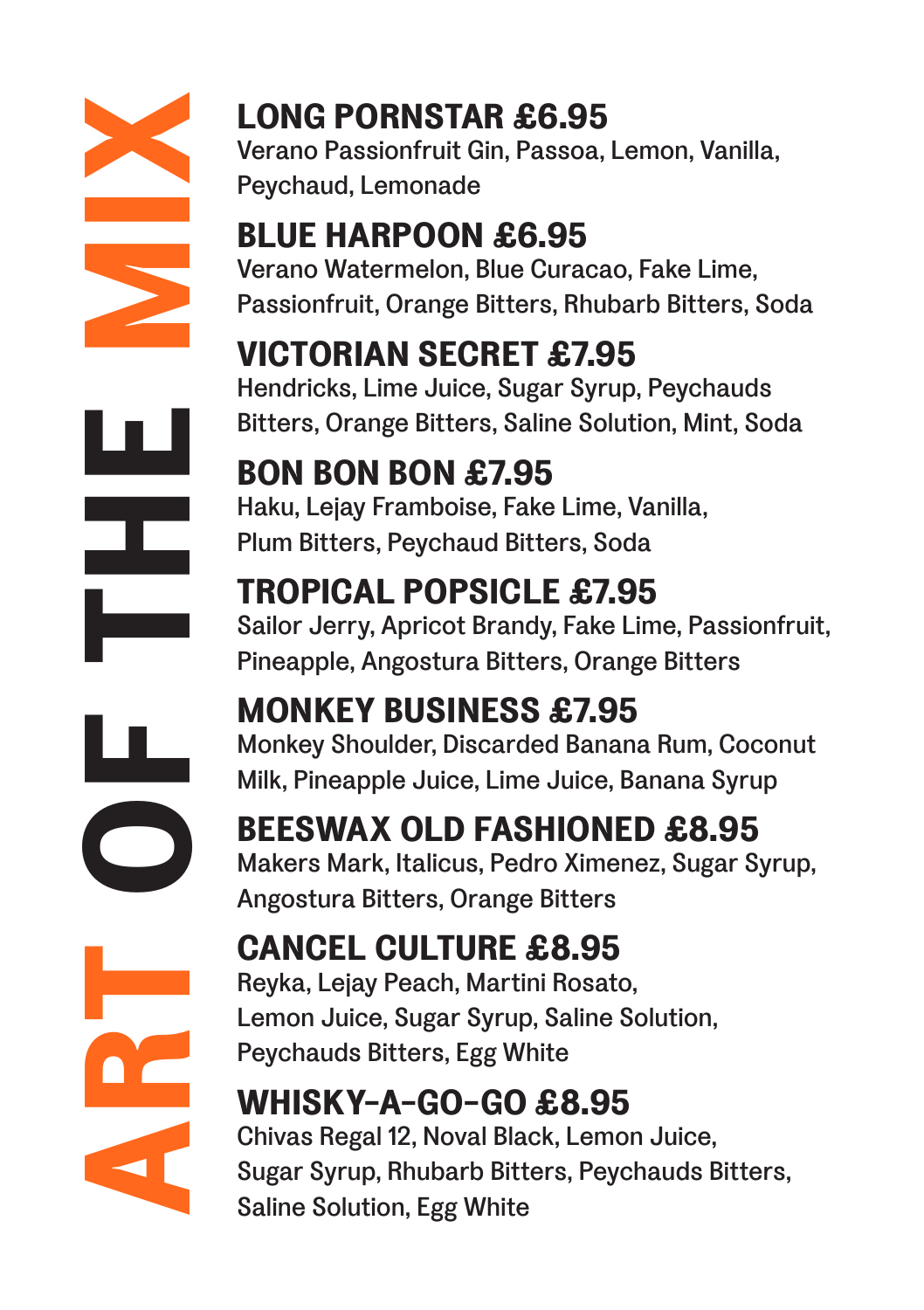# **RT** NE HE MI

#### LONG PORNSTAR £6.95

**Verano Passionfruit Gin, Passoa, Lemon, Vanilla, Peychaud, Lemonade**

#### BLUE HARPOON £6.95

**Verano Watermelon, Blue Curacao, Fake Lime, Passionfruit, Orange Bitters, Rhubarb Bitters, Soda**

#### VICTORIAN SECRET £7.95

**Hendricks, Lime Juice, Sugar Syrup, Peychauds Bitters, Orange Bitters, Saline Solution, Mint, Soda**

#### BON BON BON £7.95

**Haku, Lejay Framboise, Fake Lime, Vanilla, Plum Bitters, Peychaud Bitters, Soda**

#### TROPICAL POPSICLE £7.95

**Sailor Jerry, Apricot Brandy, Fake Lime, Passionfruit, Pineapple, Angostura Bitters, Orange Bitters**

#### MONKEY BUSINESS £7.95 **Monkey Shoulder, Discarded Banana Rum, Coconut**

**Milk, Pineapple Juice, Lime Juice, Banana Syrup**

#### BEESWAX OLD FASHIONED £8.95

**Makers Mark, Italicus, Pedro Ximenez, Sugar Syrup, Angostura Bitters, Orange Bitters**

#### CANCEL CULTURE £8.95

**Reyka, Lejay Peach, Martini Rosato, Lemon Juice, Sugar Syrup, Saline Solution, Peychauds Bitters, Egg White**

#### WHISKY-A-GO-GO £8.95

**Chivas Regal 12, Noval Black, Lemon Juice, Sugar Syrup, Rhubarb Bitters, Peychauds Bitters, Saline Solution, Egg White**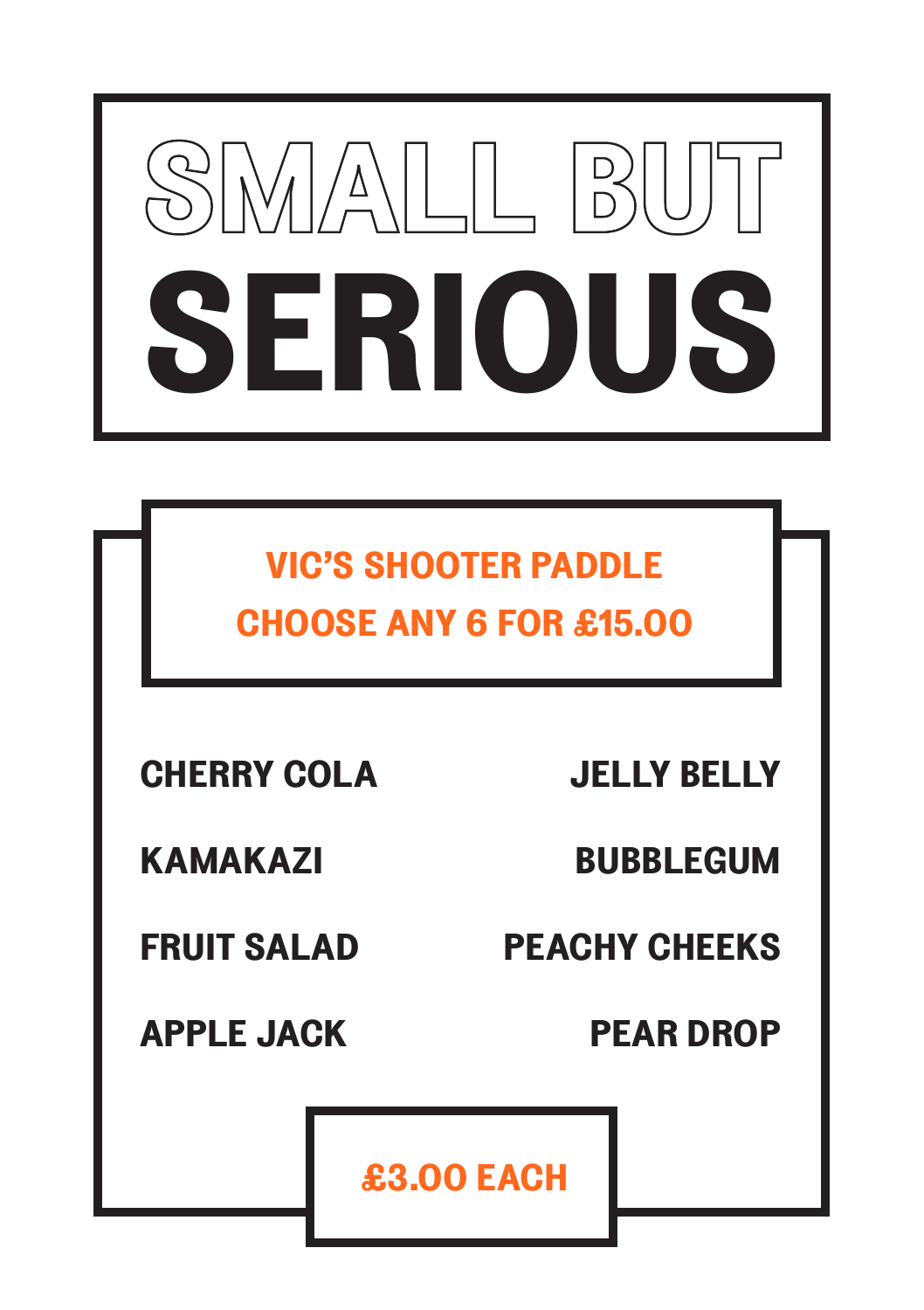# SMALL BUT SERIOUS



CHERRY COLA

JELLY BELLY

KAMAKAZI

FRUIT SALAD

BUBBLEGUM

PEACHY CHEEKS

APPLE JACK

PEAR DROP

£3.00 EACH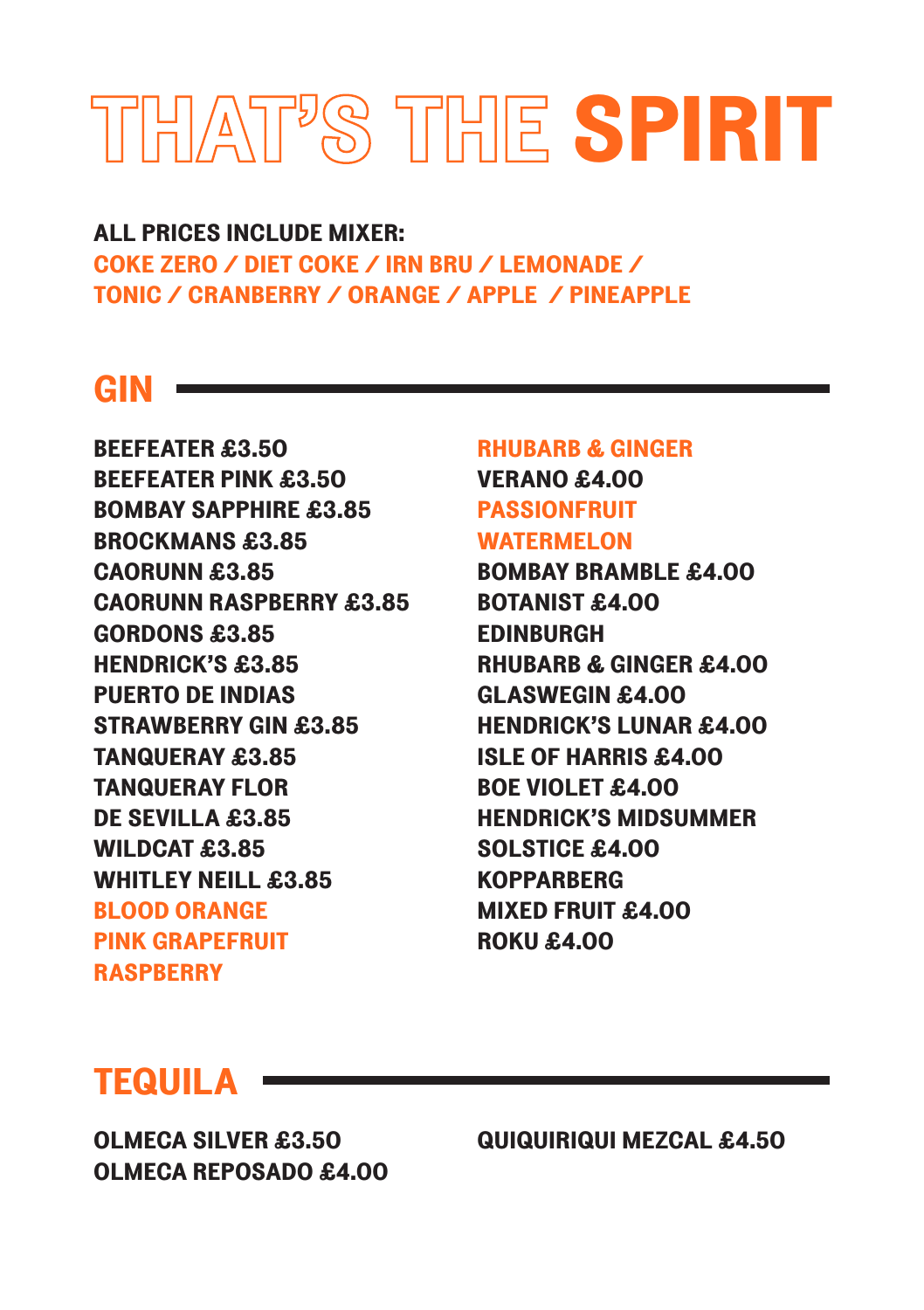### THAT'S THE SPIRIT

#### ALL PRICES INCLUDE MIXER: COKE ZERO / DIET COKE / IRN BRU / LEMONADE / TONIC / CRANBERRY / ORANGE / APPLE / PINEAPPLE

GIN

BEEFEATER £3.50 BEEFEATER PINK £3.50 BOMBAY SAPPHIRE £3.85 BROCKMANS £3.85 CAORUNN £3.85 CAORUNN RASPBERRY £3.85 GORDONS £3.85 HENDRICK'S £3.85 PUERTO DE INDIAS STRAWBERRY GIN £3.85 TANQUERAY £3.85 TANQUERAY FLOR DE SEVILLA £3.85 WILDCAT £3.85 WHITLEY NEILL £3.85 BLOOD ORANGE PINK GRAPEFRUIT **RASPBERRY** 

#### RHUBARB & GINGER VERANO £4.00 PASSIONFRUIT WATERMELON

BOMBAY BRAMBLE £4.00 BOTANIST £4.00 **FDINRIIRGH** RHUBARB & GINGER £4.00 GLASWEGIN £4.00 HENDRICK'S LUNAR £4.00 ISLE OF HARRIS £4.00 BOE VIOLET £4.00 HENDRICK'S MIDSUMMER SOLSTICE £4.00 **KOPPARBERG** MIXED FRUIT £4.00 ROKU £4.00

#### TEQUILA

OLMECA SILVER £3.50 OLMECA REPOSADO £4.00 QUIQUIRIQUI MEZCAL £4.50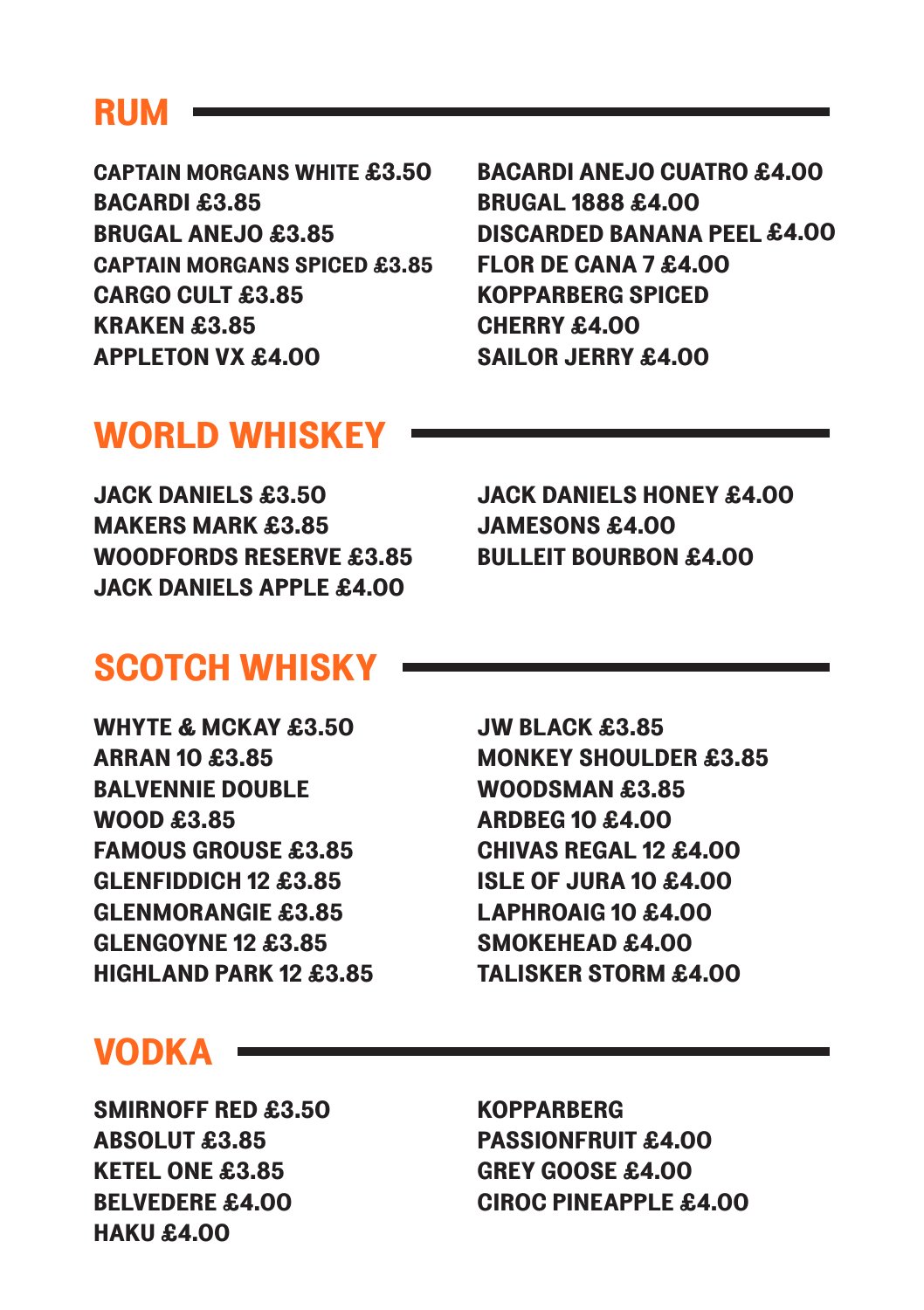#### RUM

CAPTAIN MORGANS WHITE £3.50 BACARDI £3.85 BRUGAL ANEJO £3.85 CAPTAIN MORGANS SPICED £3.85 CARGO CULT £3.85 KRAKEN £3.85 APPLETON VX £4.00

BACARDI ANEJO CUATRO £4.00 BRUGAL 1888 £4.00 DISCARDED BANANA PEEL £4.00FLOR DE CANA 7 £4.00 KOPPARBERG SPICED CHERRY £4.00 SAILOR JERRY £4.00

#### WORLD WHISKEY

JACK DANIELS £3.50 MAKERS MARK £3.85 WOODFORDS RESERVE £3.85 JACK DANIELS APPLE £4.00

JACK DANIELS HONEY £4.00 JAMESONS £4.00 BULLEIT BOURBON £4.00

#### SCOTCH WHISKY

WHYTE & MCKAY £3.50 ARRAN 10 £3.85 BALVENNIE DOUBLE WOOD £3.85 FAMOUS GROUSE £3.85 GLENFIDDICH 12 £3.85 GLENMORANGIE £3.85 GLENGOYNE 12 £3.85 HIGHLAND PARK 12 £3.85 JW BLACK £3.85 MONKEY SHOULDER £3.85 WOODSMAN £3.85 ARDBEG 10 £4.00 CHIVAS REGAL 12 £4.00 ISLE OF JURA 10 £4.00 LAPHROAIG 10 £4.00 SMOKEHEAD £4.00 TALISKER STORM £4.00

#### VODKA

SMIRNOFF RED £3.50 ABSOLUT £3.85 KETEL ONE £3.85 BELVEDERE £4.00 HAKU £4.00

**KOPPARBERG** PASSIONFRUIT £4.00 GREY GOOSE £4.00 CIROC PINEAPPLE £4.00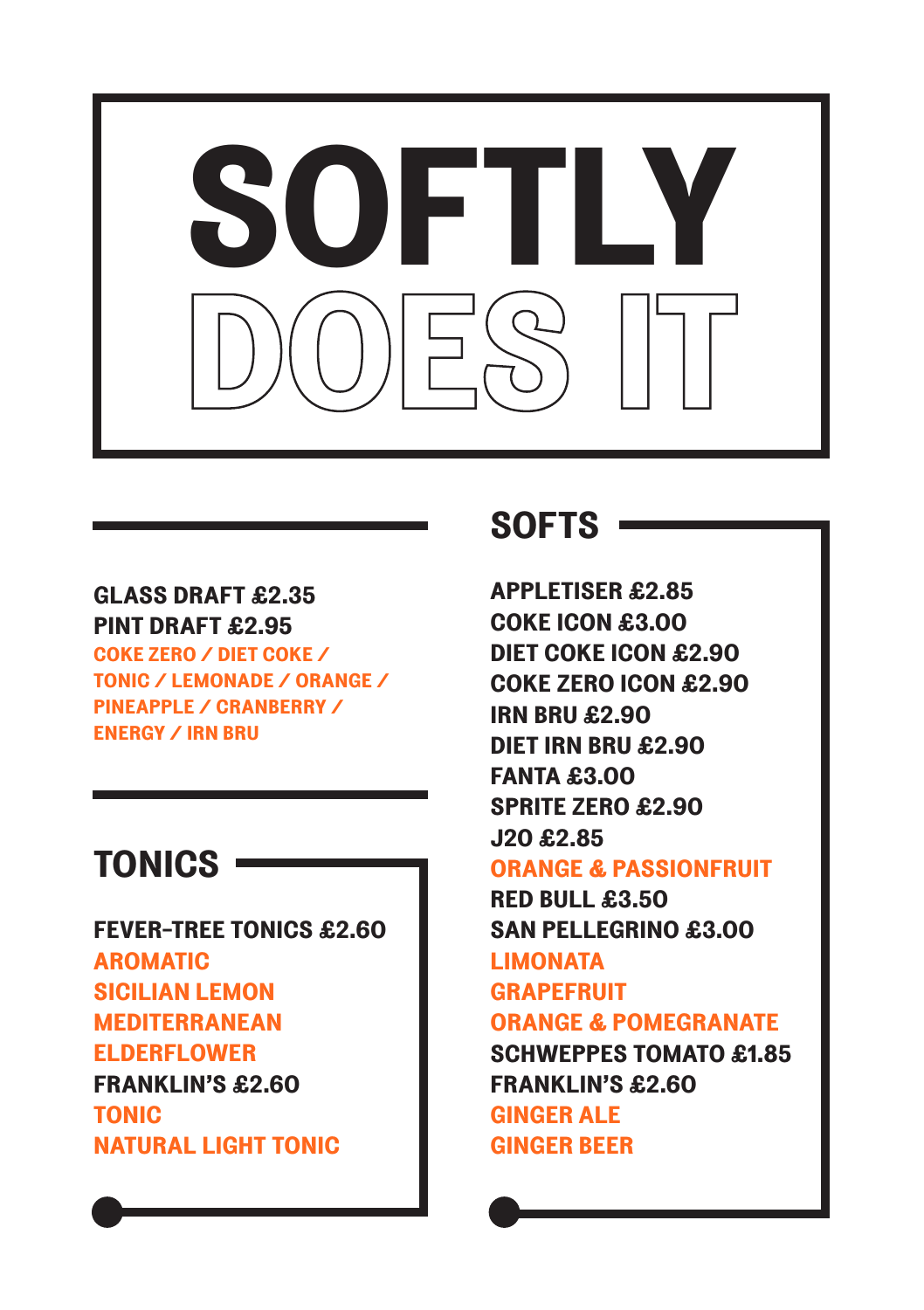

#### GLASS DRAFT £2.35 PINT DRAFT £2.95

COKE ZERO / DIET COKE / TONIC / LEMONADE / ORANGE / PINEAPPLE / CRANBERRY / ENERGY / IRN BRU

#### **TONICS**

FEVER-TREE TONICS £2.60 AROMATIC SICILIAN LEMON MEDITERRANEAN ELDERFLOWER FRANKLIN'S £2.60 TONIC NATURAL LIGHT TONIC

#### SOFTS

APPLETISER £2.85 COKE ICON £3.00 DIET COKE ICON £2.90 COKE ZERO ICON £2.90 IRN BRU £2.90 DIET IRN BRU £2.90 FANTA £3.00 SPRITE ZERO £2.90 J20 £2.85 ORANGE & PASSIONFRUIT RED BULL £3.50 SAN PELLEGRINO £3.00 LIMONATA **GRAPFFRUIT** ORANGE & POMEGRANATE SCHWEPPES TOMATO £1.85 FRANKLIN'S £2.60 GINGER ALE

GINGER BEER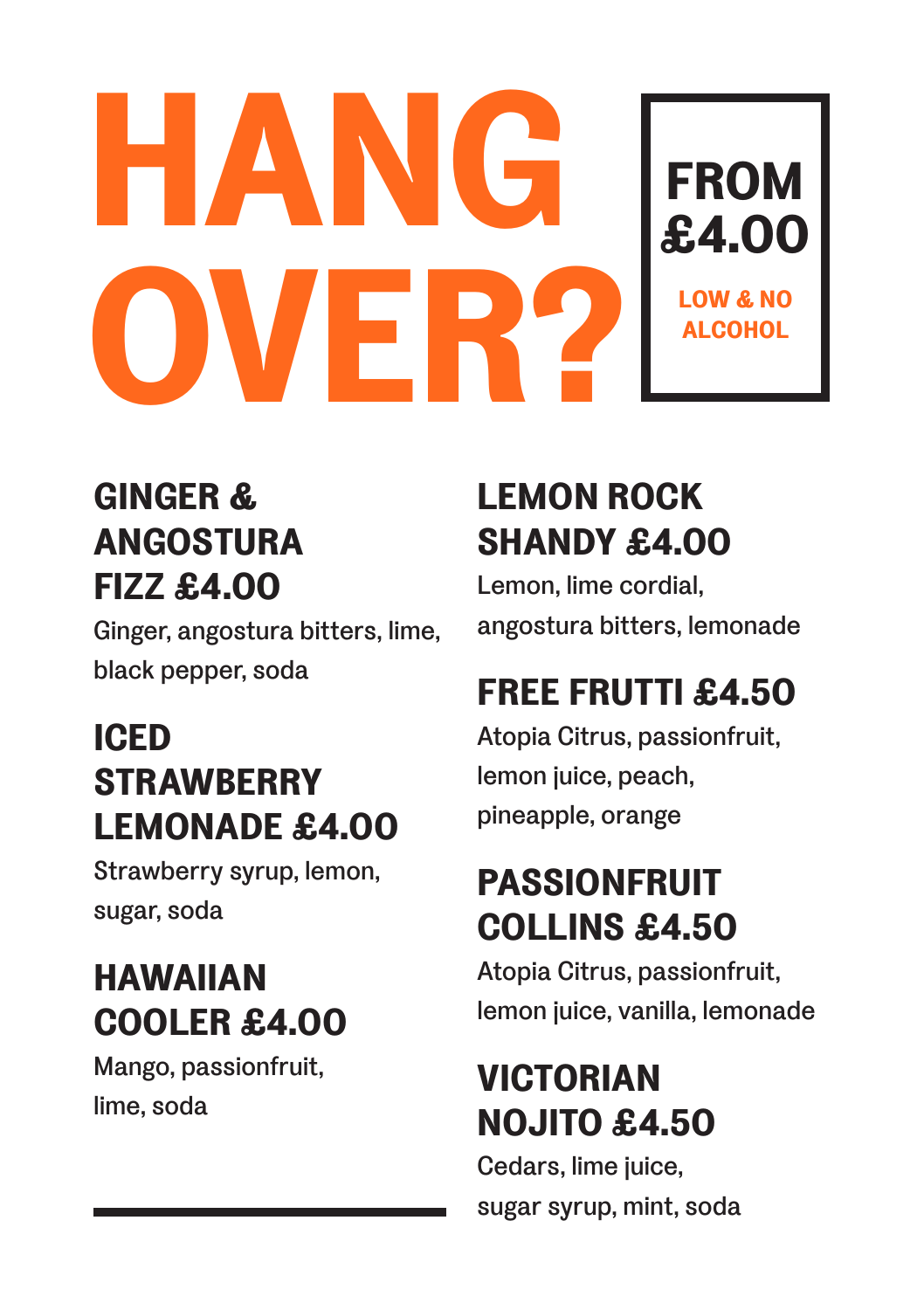#### LOW & NO ALCOHOL FROM £4.00 HANG OVER?

#### GINGER & ANGOSTURA FIZZ £4.00

**Ginger, angostura bitters, lime, black pepper, soda**

#### ICED **STRAWBERRY** LEMONADE £4.00

**Strawberry syrup, lemon, sugar, soda**

#### HAWAIIAN COOLER £4.00

**Mango, passionfruit, lime, soda**

#### LEMON ROCK SHANDY £4.00

**Lemon, lime cordial, angostura bitters, lemonade**

#### FREE FRUTTI £4.50

**Atopia Citrus, passionfruit, lemon juice, peach, pineapple, orange**

#### PASSIONFRUIT COLLINS £4.50

**Atopia Citrus, passionfruit, lemon juice, vanilla, lemonade**

#### VICTORIAN NOJITO £4.50

**Cedars, lime juice, sugar syrup, mint, soda**